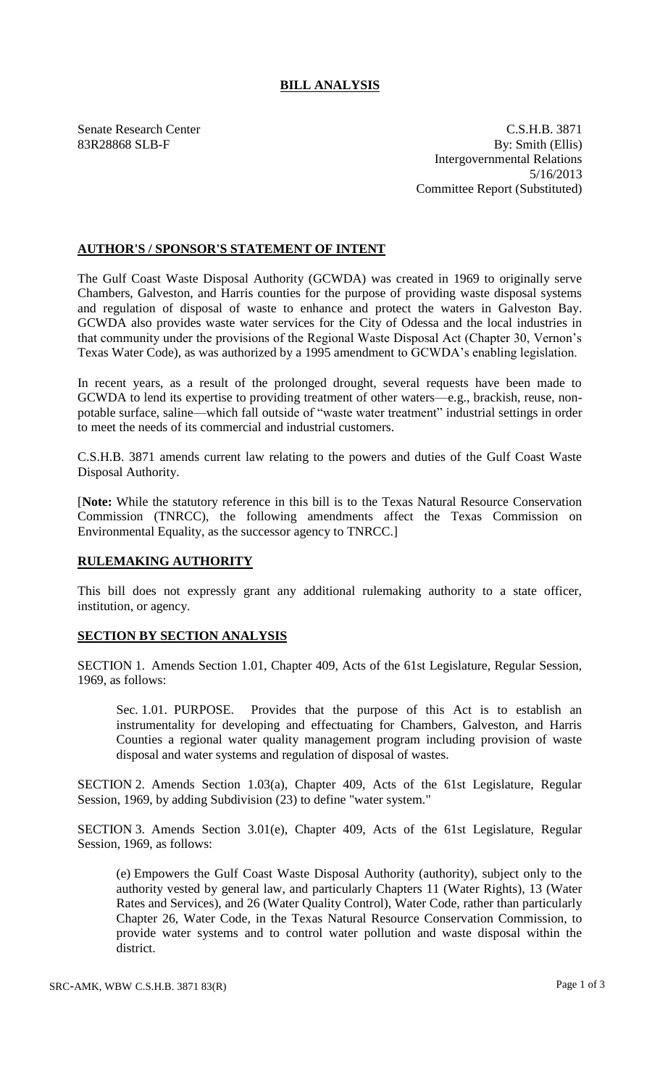## **BILL ANALYSIS**

Senate Research Center C.S.H.B. 3871 83R28868 SLB-F By: Smith (Ellis) Intergovernmental Relations 5/16/2013 Committee Report (Substituted)

## **AUTHOR'S / SPONSOR'S STATEMENT OF INTENT**

The Gulf Coast Waste Disposal Authority (GCWDA) was created in 1969 to originally serve Chambers, Galveston, and Harris counties for the purpose of providing waste disposal systems and regulation of disposal of waste to enhance and protect the waters in Galveston Bay. GCWDA also provides waste water services for the City of Odessa and the local industries in that community under the provisions of the Regional Waste Disposal Act (Chapter 30, Vernon's Texas Water Code), as was authorized by a 1995 amendment to GCWDA's enabling legislation.

In recent years, as a result of the prolonged drought, several requests have been made to GCWDA to lend its expertise to providing treatment of other waters—e.g., brackish, reuse, nonpotable surface, saline—which fall outside of "waste water treatment" industrial settings in order to meet the needs of its commercial and industrial customers.

C.S.H.B. 3871 amends current law relating to the powers and duties of the Gulf Coast Waste Disposal Authority.

[**Note:** While the statutory reference in this bill is to the Texas Natural Resource Conservation Commission (TNRCC), the following amendments affect the Texas Commission on Environmental Equality, as the successor agency to TNRCC.]

## **RULEMAKING AUTHORITY**

This bill does not expressly grant any additional rulemaking authority to a state officer, institution, or agency.

## **SECTION BY SECTION ANALYSIS**

SECTION 1. Amends Section 1.01, Chapter 409, Acts of the 61st Legislature, Regular Session, 1969, as follows:

Sec. 1.01. PURPOSE. Provides that the purpose of this Act is to establish an instrumentality for developing and effectuating for Chambers, Galveston, and Harris Counties a regional water quality management program including provision of waste disposal and water systems and regulation of disposal of wastes.

SECTION 2. Amends Section 1.03(a), Chapter 409, Acts of the 61st Legislature, Regular Session, 1969, by adding Subdivision (23) to define "water system."

SECTION 3. Amends Section 3.01(e), Chapter 409, Acts of the 61st Legislature, Regular Session, 1969, as follows:

(e) Empowers the Gulf Coast Waste Disposal Authority (authority), subject only to the authority vested by general law, and particularly Chapters 11 (Water Rights), 13 (Water Rates and Services), and 26 (Water Quality Control), Water Code, rather than particularly Chapter 26, Water Code, in the Texas Natural Resource Conservation Commission, to provide water systems and to control water pollution and waste disposal within the district.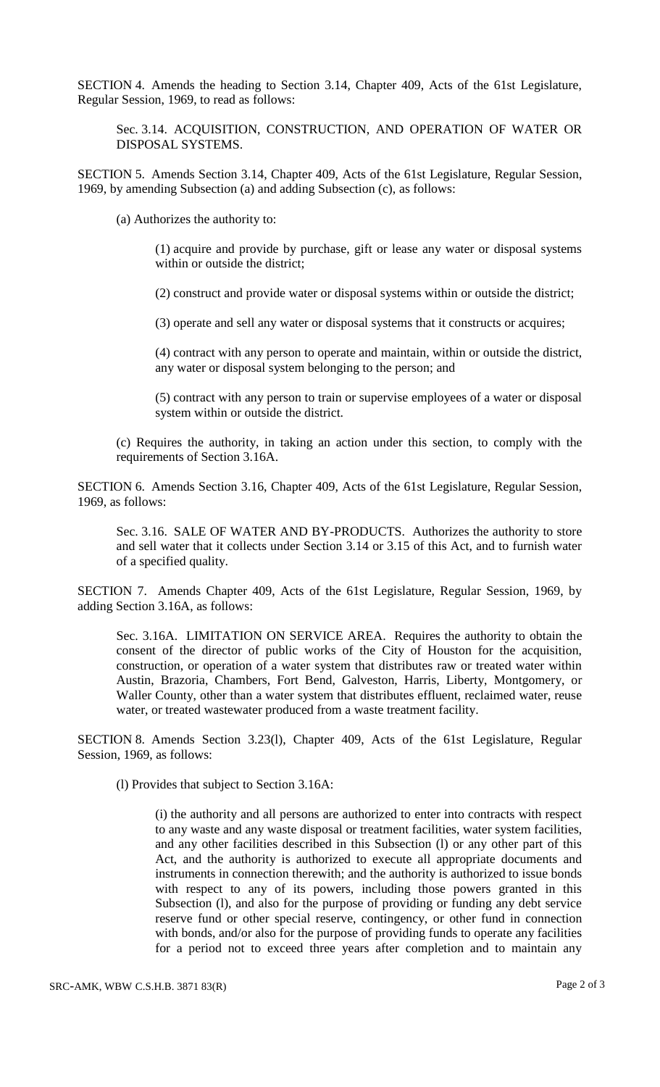SECTION 4. Amends the heading to Section 3.14, Chapter 409, Acts of the 61st Legislature, Regular Session, 1969, to read as follows:

Sec. 3.14. ACQUISITION, CONSTRUCTION, AND OPERATION OF WATER OR DISPOSAL SYSTEMS.

SECTION 5. Amends Section 3.14, Chapter 409, Acts of the 61st Legislature, Regular Session, 1969, by amending Subsection (a) and adding Subsection (c), as follows:

(a) Authorizes the authority to:

(1) acquire and provide by purchase, gift or lease any water or disposal systems within or outside the district;

(2) construct and provide water or disposal systems within or outside the district;

(3) operate and sell any water or disposal systems that it constructs or acquires;

(4) contract with any person to operate and maintain, within or outside the district, any water or disposal system belonging to the person; and

(5) contract with any person to train or supervise employees of a water or disposal system within or outside the district.

(c) Requires the authority, in taking an action under this section, to comply with the requirements of Section 3.16A.

SECTION 6. Amends Section 3.16, Chapter 409, Acts of the 61st Legislature, Regular Session, 1969, as follows:

Sec. 3.16. SALE OF WATER AND BY-PRODUCTS. Authorizes the authority to store and sell water that it collects under Section 3.14 or 3.15 of this Act, and to furnish water of a specified quality.

SECTION 7. Amends Chapter 409, Acts of the 61st Legislature, Regular Session, 1969, by adding Section 3.16A, as follows:

Sec. 3.16A. LIMITATION ON SERVICE AREA. Requires the authority to obtain the consent of the director of public works of the City of Houston for the acquisition, construction, or operation of a water system that distributes raw or treated water within Austin, Brazoria, Chambers, Fort Bend, Galveston, Harris, Liberty, Montgomery, or Waller County, other than a water system that distributes effluent, reclaimed water, reuse water, or treated wastewater produced from a waste treatment facility.

SECTION 8. Amends Section 3.23(l), Chapter 409, Acts of the 61st Legislature, Regular Session, 1969, as follows:

(l) Provides that subject to Section 3.16A:

(i) the authority and all persons are authorized to enter into contracts with respect to any waste and any waste disposal or treatment facilities, water system facilities, and any other facilities described in this Subsection (l) or any other part of this Act, and the authority is authorized to execute all appropriate documents and instruments in connection therewith; and the authority is authorized to issue bonds with respect to any of its powers, including those powers granted in this Subsection (l), and also for the purpose of providing or funding any debt service reserve fund or other special reserve, contingency, or other fund in connection with bonds, and/or also for the purpose of providing funds to operate any facilities for a period not to exceed three years after completion and to maintain any